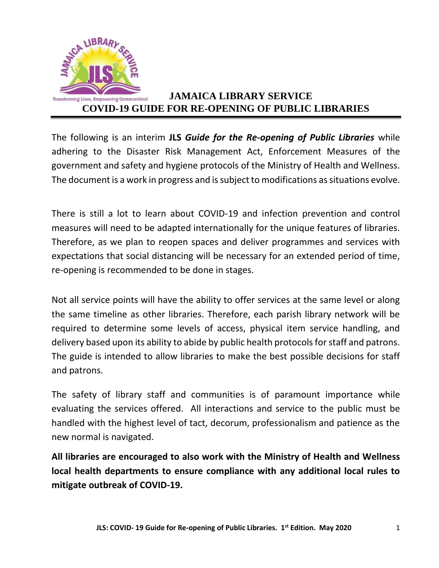

# **Transforming Lives, Empowering Communities! JAMAICA LIBRARY SERVICE COVID-19 GUIDE FOR RE-OPENING OF PUBLIC LIBRARIES**

The following is an interim **JLS** *Guide for the Re-opening of Public Libraries* while adhering to the Disaster Risk Management Act, Enforcement Measures of the government and safety and hygiene protocols of the Ministry of Health and Wellness. The document is a work in progress and is subject to modifications as situations evolve.

There is still a lot to learn about COVID-19 and infection prevention and control measures will need to be adapted internationally for the unique features of libraries. Therefore, as we plan to reopen spaces and deliver programmes and services with expectations that social distancing will be necessary for an extended period of time, re-opening is recommended to be done in stages.

Not all service points will have the ability to offer services at the same level or along the same timeline as other libraries. Therefore, each parish library network will be required to determine some levels of access, physical item service handling, and delivery based upon its ability to abide by public health protocols for staff and patrons. The guide is intended to allow libraries to make the best possible decisions for staff and patrons.

The safety of library staff and communities is of paramount importance while evaluating the services offered. All interactions and service to the public must be handled with the highest level of tact, decorum, professionalism and patience as the new normal is navigated.

**All libraries are encouraged to also work with the Ministry of Health and Wellness local health departments to ensure compliance with any additional local rules to mitigate outbreak of COVID-19.**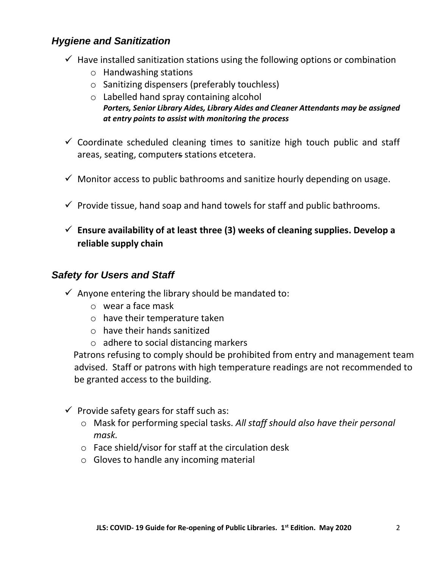## *Hygiene and Sanitization*

- $\checkmark$  Have installed sanitization stations using the following options or combination
	- o Handwashing stations
	- o Sanitizing dispensers (preferably touchless)
	- o Labelled hand spray containing alcohol *Porters, Senior Library Aides, Library Aides and Cleaner Attendants may be assigned at entry points to assist with monitoring the process*
- $\checkmark$  Coordinate scheduled cleaning times to sanitize high touch public and staff areas, seating, computers stations etcetera.
- $\checkmark$  Monitor access to public bathrooms and sanitize hourly depending on usage.
- $\checkmark$  Provide tissue, hand soap and hand towels for staff and public bathrooms.
- **Ensure availability of at least three (3) weeks of cleaning supplies. Develop a reliable supply chain**

#### *Safety for Users and Staff*

- $\checkmark$  Anyone entering the library should be mandated to:
	- o wear a face mask
	- o have their temperature taken
	- o have their hands sanitized
	- o adhere to social distancing markers

 Patrons refusing to comply should be prohibited from entry and management team advised. Staff or patrons with high temperature readings are not recommended to be granted access to the building.

- $\checkmark$  Provide safety gears for staff such as:
	- o Mask for performing special tasks. *All staff should also have their personal mask.*
	- o Face shield/visor for staff at the circulation desk
	- o Gloves to handle any incoming material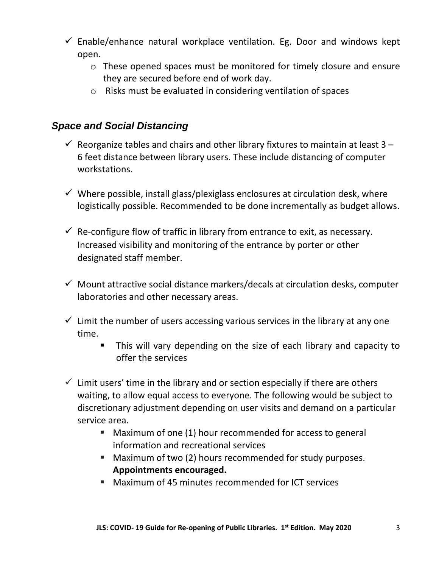- $\checkmark$  Enable/enhance natural workplace ventilation. Eg. Door and windows kept open.
	- o These opened spaces must be monitored for timely closure and ensure they are secured before end of work day.
	- o Risks must be evaluated in considering ventilation of spaces

#### *Space and Social Distancing*

- $\checkmark$  Reorganize tables and chairs and other library fixtures to maintain at least 3 6 feet distance between library users. These include distancing of computer workstations.
- $\checkmark$  Where possible, install glass/plexiglass enclosures at circulation desk, where logistically possible. Recommended to be done incrementally as budget allows.
- $\checkmark$  Re-configure flow of traffic in library from entrance to exit, as necessary. Increased visibility and monitoring of the entrance by porter or other designated staff member.
- $\checkmark$  Mount attractive social distance markers/decals at circulation desks, computer laboratories and other necessary areas.
- $\checkmark$  Limit the number of users accessing various services in the library at any one time.
	- This will vary depending on the size of each library and capacity to offer the services
- $\checkmark$  Limit users' time in the library and or section especially if there are others waiting, to allow equal access to everyone. The following would be subject to discretionary adjustment depending on user visits and demand on a particular service area.
	- Maximum of one (1) hour recommended for access to general information and recreational services
	- Maximum of two (2) hours recommended for study purposes. **Appointments encouraged.**
	- Maximum of 45 minutes recommended for ICT services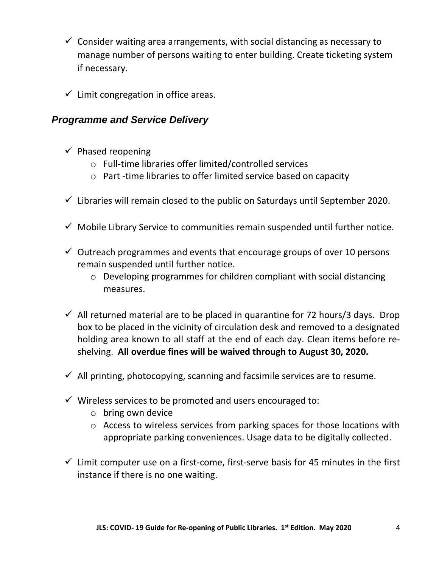- $\checkmark$  Consider waiting area arrangements, with social distancing as necessary to manage number of persons waiting to enter building. Create ticketing system if necessary.
- $\checkmark$  Limit congregation in office areas.

#### *Programme and Service Delivery*

- $\checkmark$  Phased reopening
	- o Full-time libraries offer limited/controlled services
	- o Part -time libraries to offer limited service based on capacity
- $\checkmark$  Libraries will remain closed to the public on Saturdays until September 2020.
- $\checkmark$  Mobile Library Service to communities remain suspended until further notice.
- $\checkmark$  Outreach programmes and events that encourage groups of over 10 persons remain suspended until further notice.
	- o Developing programmes for children compliant with social distancing measures.
- $\checkmark$  All returned material are to be placed in quarantine for 72 hours/3 days. Drop box to be placed in the vicinity of circulation desk and removed to a designated holding area known to all staff at the end of each day. Clean items before reshelving. **All overdue fines will be waived through to August 30, 2020.**
- $\checkmark$  All printing, photocopying, scanning and facsimile services are to resume.
- $\checkmark$  Wireless services to be promoted and users encouraged to:
	- $\circ$  bring own device
	- o Access to wireless services from parking spaces for those locations with appropriate parking conveniences. Usage data to be digitally collected.
- $\checkmark$  Limit computer use on a first-come, first-serve basis for 45 minutes in the first instance if there is no one waiting.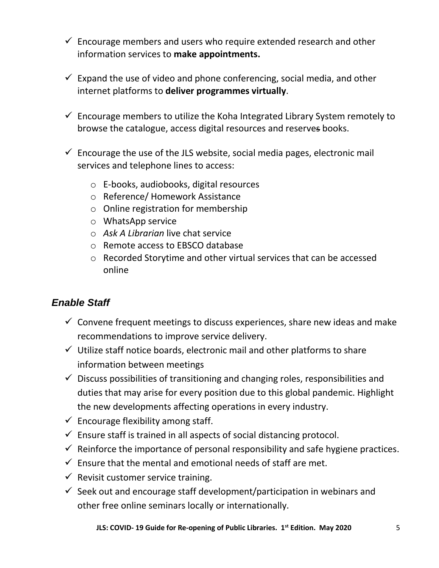- $\checkmark$  Encourage members and users who require extended research and other information services to **make appointments.**
- $\checkmark$  Expand the use of video and phone conferencing, social media, and other internet platforms to **deliver programmes virtually**.
- $\checkmark$  Encourage members to utilize the Koha Integrated Library System remotely to browse the catalogue, access digital resources and reserves books.
- $\checkmark$  Encourage the use of the JLS website, social media pages, electronic mail services and telephone lines to access:
	- o E-books, audiobooks, digital resources
	- o Reference/ Homework Assistance
	- o Online registration for membership
	- o WhatsApp service
	- o *Ask A Librarian* live chat service
	- o Remote access to EBSCO database
	- o Recorded Storytime and other virtual services that can be accessed online

## *Enable Staff*

- $\checkmark$  Convene frequent meetings to discuss experiences, share new ideas and make recommendations to improve service delivery.
- $\checkmark$  Utilize staff notice boards, electronic mail and other platforms to share information between meetings
- $\checkmark$  Discuss possibilities of transitioning and changing roles, responsibilities and duties that may arise for every position due to this global pandemic. Highlight the new developments affecting operations in every industry.
- $\checkmark$  Encourage flexibility among staff.
- $\checkmark$  Ensure staff is trained in all aspects of social distancing protocol.
- $\checkmark$  Reinforce the importance of personal responsibility and safe hygiene practices.
- $\checkmark$  Ensure that the mental and emotional needs of staff are met.
- $\checkmark$  Revisit customer service training.
- $\checkmark$  Seek out and encourage staff development/participation in webinars and other free online seminars locally or internationally.